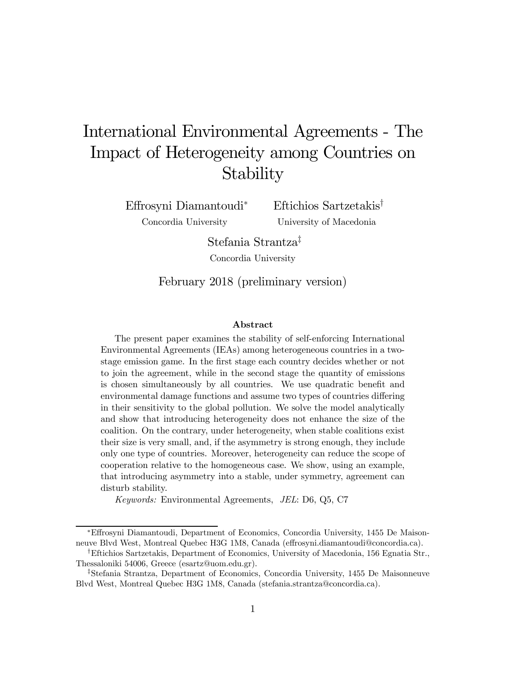# International Environmental Agreements - The Impact of Heterogeneity among Countries on Stability

Effrosyni Diamantoudi<sup>∗</sup> Concordia University

Eftichios Sartzetakis† University of Macedonia

Stefania Strantza‡ Concordia University

February 2018 (preliminary version)

#### Abstract

The present paper examines the stability of self-enforcing International Environmental Agreements (IEAs) among heterogeneous countries in a twostage emission game. In the first stage each country decides whether or not to join the agreement, while in the second stage the quantity of emissions is chosen simultaneously by all countries. We use quadratic benefit and environmental damage functions and assume two types of countries differing in their sensitivity to the global pollution. We solve the model analytically and show that introducing heterogeneity does not enhance the size of the coalition. On the contrary, under heterogeneity, when stable coalitions exist their size is very small, and, if the asymmetry is strong enough, they include only one type of countries. Moreover, heterogeneity can reduce the scope of cooperation relative to the homogeneous case. We show, using an example, that introducing asymmetry into a stable, under symmetry, agreement can disturb stability.

Keywords: Environmental Agreements, JEL: D6, Q5, C7

<sup>∗</sup>Effrosyni Diamantoudi, Department of Economics, Concordia University, 1455 De Maisonneuve Blvd West, Montreal Quebec H3G 1M8, Canada (effrosyni.diamantoudi@concordia.ca).

<sup>†</sup>Eftichios Sartzetakis, Department of Economics, University of Macedonia, 156 Egnatia Str., Thessaloniki 54006, Greece (esartz@uom.edu.gr).

<sup>‡</sup>Stefania Strantza, Department of Economics, Concordia University, 1455 De Maisonneuve Blvd West, Montreal Quebec H3G 1M8, Canada (stefania.strantza@concordia.ca).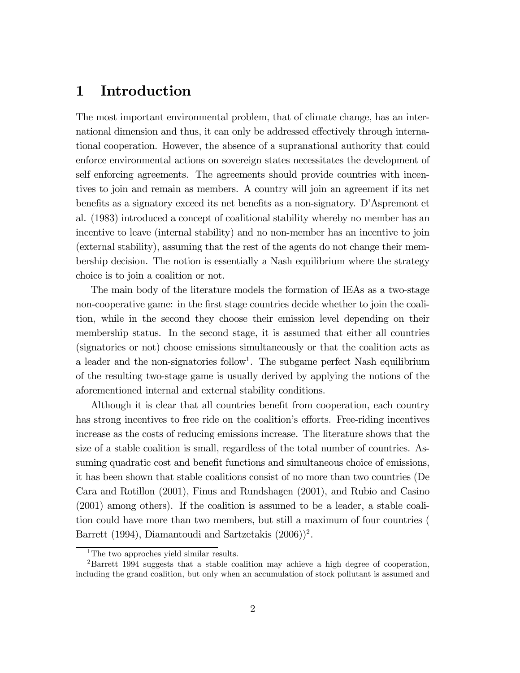# 1 Introduction

The most important environmental problem, that of climate change, has an international dimension and thus, it can only be addressed effectively through international cooperation. However, the absence of a supranational authority that could enforce environmental actions on sovereign states necessitates the development of self enforcing agreements. The agreements should provide countries with incentives to join and remain as members. A country will join an agreement if its net benefits as a signatory exceed its net benefits as a non-signatory. D'Aspremont et al. (1983) introduced a concept of coalitional stability whereby no member has an incentive to leave (internal stability) and no non-member has an incentive to join (external stability), assuming that the rest of the agents do not change their membership decision. The notion is essentially a Nash equilibrium where the strategy choice is to join a coalition or not.

The main body of the literature models the formation of IEAs as a two-stage non-cooperative game: in the first stage countries decide whether to join the coalition, while in the second they choose their emission level depending on their membership status. In the second stage, it is assumed that either all countries (signatories or not) choose emissions simultaneously or that the coalition acts as a leader and the non-signatories  $\text{follow}^1$ . The subgame perfect Nash equilibrium of the resulting two-stage game is usually derived by applying the notions of the aforementioned internal and external stability conditions.

Although it is clear that all countries benefit from cooperation, each country has strong incentives to free ride on the coalition's efforts. Free-riding incentives increase as the costs of reducing emissions increase. The literature shows that the size of a stable coalition is small, regardless of the total number of countries. Assuming quadratic cost and benefit functions and simultaneous choice of emissions, it has been shown that stable coalitions consist of no more than two countries (De Cara and Rotillon (2001), Finus and Rundshagen (2001), and Rubio and Casino (2001) among others). If the coalition is assumed to be a leader, a stable coalition could have more than two members, but still a maximum of four countries ( Barrett (1994), Diamantoudi and Sartzetakis  $(2006))^2$ .

<sup>&</sup>lt;sup>1</sup>The two approches yield similar results.

<sup>2</sup>Barrett 1994 suggests that a stable coalition may achieve a high degree of cooperation, including the grand coalition, but only when an accumulation of stock pollutant is assumed and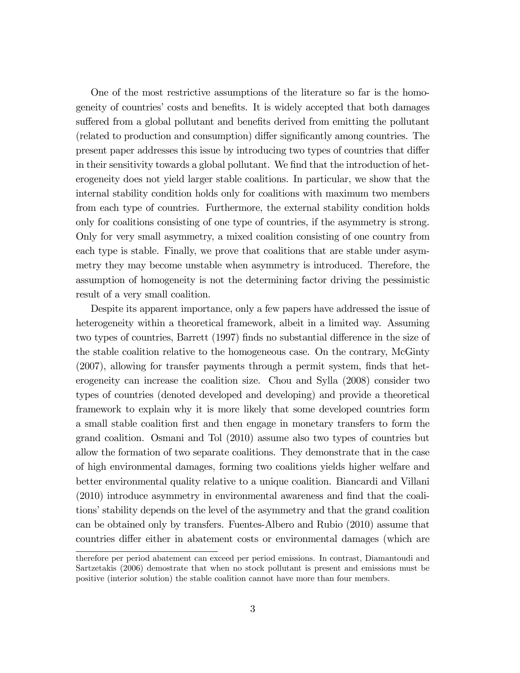One of the most restrictive assumptions of the literature so far is the homogeneity of countries' costs and benefits. It is widely accepted that both damages suffered from a global pollutant and benefits derived from emitting the pollutant (related to production and consumption) differ significantly among countries. The present paper addresses this issue by introducing two types of countries that differ in their sensitivity towards a global pollutant. We find that the introduction of heterogeneity does not yield larger stable coalitions. In particular, we show that the internal stability condition holds only for coalitions with maximum two members from each type of countries. Furthermore, the external stability condition holds only for coalitions consisting of one type of countries, if the asymmetry is strong. Only for very small asymmetry, a mixed coalition consisting of one country from each type is stable. Finally, we prove that coalitions that are stable under asymmetry they may become unstable when asymmetry is introduced. Therefore, the assumption of homogeneity is not the determining factor driving the pessimistic result of a very small coalition.

Despite its apparent importance, only a few papers have addressed the issue of heterogeneity within a theoretical framework, albeit in a limited way. Assuming two types of countries, Barrett (1997) finds no substantial difference in the size of the stable coalition relative to the homogeneous case. On the contrary, McGinty (2007), allowing for transfer payments through a permit system, finds that heterogeneity can increase the coalition size. Chou and Sylla (2008) consider two types of countries (denoted developed and developing) and provide a theoretical framework to explain why it is more likely that some developed countries form a small stable coalition first and then engage in monetary transfers to form the grand coalition. Osmani and Tol (2010) assume also two types of countries but allow the formation of two separate coalitions. They demonstrate that in the case of high environmental damages, forming two coalitions yields higher welfare and better environmental quality relative to a unique coalition. Biancardi and Villani (2010) introduce asymmetry in environmental awareness and find that the coalitions' stability depends on the level of the asymmetry and that the grand coalition can be obtained only by transfers. Fuentes-Albero and Rubio (2010) assume that countries differ either in abatement costs or environmental damages (which are

therefore per period abatement can exceed per period emissions. In contrast, Diamantoudi and Sartzetakis (2006) demostrate that when no stock pollutant is present and emissions must be positive (interior solution) the stable coalition cannot have more than four members.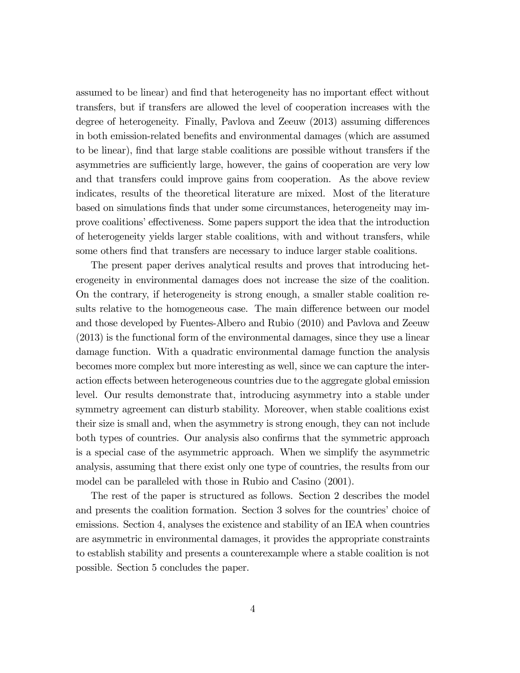assumed to be linear) and find that heterogeneity has no important effect without transfers, but if transfers are allowed the level of cooperation increases with the degree of heterogeneity. Finally, Pavlova and Zeeuw (2013) assuming differences in both emission-related benefits and environmental damages (which are assumed to be linear), find that large stable coalitions are possible without transfers if the asymmetries are sufficiently large, however, the gains of cooperation are very low and that transfers could improve gains from cooperation. As the above review indicates, results of the theoretical literature are mixed. Most of the literature based on simulations finds that under some circumstances, heterogeneity may improve coalitions' effectiveness. Some papers support the idea that the introduction of heterogeneity yields larger stable coalitions, with and without transfers, while some others find that transfers are necessary to induce larger stable coalitions.

The present paper derives analytical results and proves that introducing heterogeneity in environmental damages does not increase the size of the coalition. On the contrary, if heterogeneity is strong enough, a smaller stable coalition results relative to the homogeneous case. The main difference between our model and those developed by Fuentes-Albero and Rubio (2010) and Pavlova and Zeeuw (2013) is the functional form of the environmental damages, since they use a linear damage function. With a quadratic environmental damage function the analysis becomes more complex but more interesting as well, since we can capture the interaction effects between heterogeneous countries due to the aggregate global emission level. Our results demonstrate that, introducing asymmetry into a stable under symmetry agreement can disturb stability. Moreover, when stable coalitions exist their size is small and, when the asymmetry is strong enough, they can not include both types of countries. Our analysis also confirms that the symmetric approach is a special case of the asymmetric approach. When we simplify the asymmetric analysis, assuming that there exist only one type of countries, the results from our model can be paralleled with those in Rubio and Casino (2001).

The rest of the paper is structured as follows. Section 2 describes the model and presents the coalition formation. Section 3 solves for the countries' choice of emissions. Section 4, analyses the existence and stability of an IEA when countries are asymmetric in environmental damages, it provides the appropriate constraints to establish stability and presents a counterexample where a stable coalition is not possible. Section 5 concludes the paper.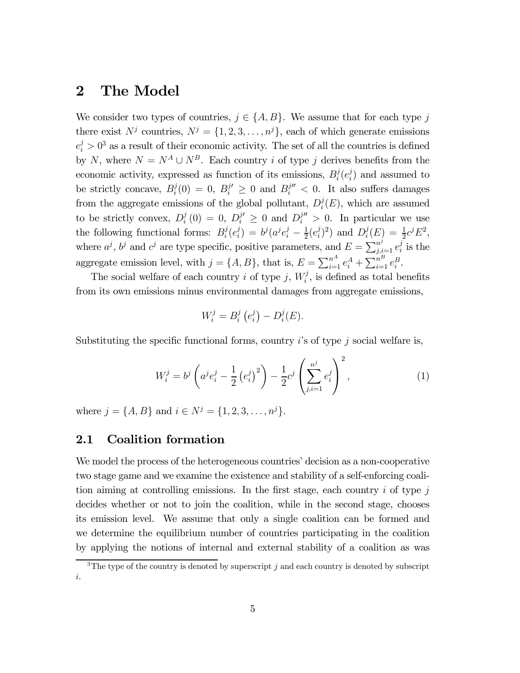# 2 The Model

We consider two types of countries,  $j \in \{A, B\}$ . We assume that for each type j there exist  $N^j$  countries,  $N^j = \{1, 2, 3, ..., n^j\}$ , each of which generate emissions  $e_i^j > 0^3$  as a result of their economic activity. The set of all the countries is defined by N, where  $N = N^A \cup N^B$ . Each country *i* of type *j* derives benefits from the economic activity, expressed as function of its emissions,  $B_i^j(e_i^j)$  and assumed to be strictly concave,  $B_i^j(0) = 0$ ,  $B_i^{j'} \geq 0$  and  $B_i^{j''} < 0$ . It also suffers damages from the aggregate emissions of the global pollutant,  $D_i^j(E)$ , which are assumed to be strictly convex,  $D_i^j(0) = 0$ ,  $D_i^{j'} \ge 0$  and  $D_i^{j''} > 0$ . In particular we use the following functional forms:  $B_i^j(e_i^j) = b^j(a^je_i^j - \frac{1}{2}(e_i^j)^2)$  and  $D_i^j(E) = \frac{1}{2}c^jE^2$ , where  $a^j$ ,  $b^j$  and  $c^j$  are type specific, positive parameters, and  $E = \sum_{j,i=1}^{n^j} e_i^j$  is the aggregate emission level, with  $j = \{A, B\}$ , that is,  $E = \sum_{i=1}^{n^A} e_i^A + \sum_{i=1}^{n^B} e_i^B$ .

The social welfare of each country *i* of type *j*,  $W_i^j$ , is defined as total benefits from its own emissions minus environmental damages from aggregate emissions,

$$
W_i^j = B_i^j \left( e_i^j \right) - D_i^j(E).
$$

Substituting the specific functional forms, country  $i$ 's of type  $j$  social welfare is,

$$
W_i^j = b^j \left( a^j e_i^j - \frac{1}{2} \left( e_i^j \right)^2 \right) - \frac{1}{2} c^j \left( \sum_{j,i=1}^{n^j} e_i^j \right)^2, \tag{1}
$$

where  $j = \{A, B\}$  and  $i \in N^j = \{1, 2, 3, ..., n^j\}$ .

### 2.1 Coalition formation

We model the process of the heterogeneous countries' decision as a non-cooperative two stage game and we examine the existence and stability of a self-enforcing coalition aiming at controlling emissions. In the first stage, each country  $i$  of type  $j$ decides whether or not to join the coalition, while in the second stage, chooses its emission level. We assume that only a single coalition can be formed and we determine the equilibrium number of countries participating in the coalition by applying the notions of internal and external stability of a coalition as was

<sup>&</sup>lt;sup>3</sup>The type of the country is denoted by superscript  $j$  and each country is denoted by subscript .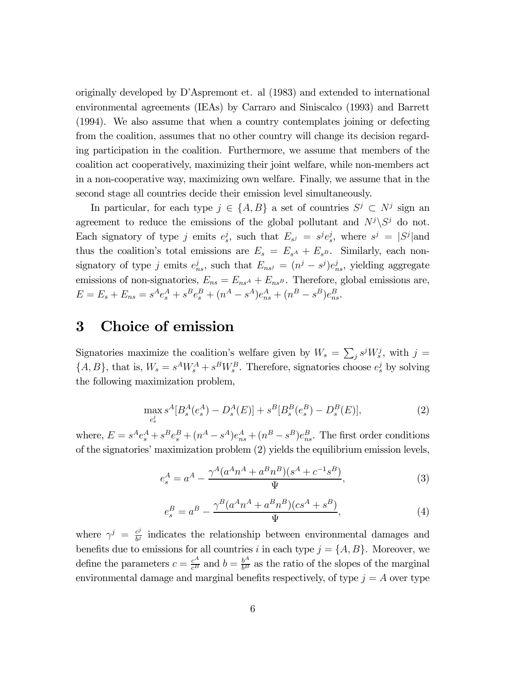originally developed by D'Aspremont et. al (1983) and extended to international environmental agreements (IEAs) by Carraro and Siniscalco (1993) and Barrett (1994). We also assume that when a country contemplates joining or defecting from the coalition, assumes that no other country will change its decision regarding participation in the coalition. Furthermore, we assume that members of the coalition act cooperatively, maximizing their joint welfare, while non-members act in a non-cooperative way, maximizing own welfare. Finally, we assume that in the second stage all countries decide their emission level simultaneously.

In particular, for each type  $j \in \{A, B\}$  a set of countries  $S^j \subset N^j$  sign an agreement to reduce the emissions of the global pollutant and  $N^{j} \backslash S^{j}$  do not. Each signatory of type j emits  $e_s^j$ , such that  $E_{s^j} = s^j e_s^j$ , where  $s^j = |S^j|$  and thus the coalition's total emissions are  $E_s = E_{s^A} + E_{s^B}$ . Similarly, each nonsignatory of type *j* emits  $e_{ns}^j$ , such that  $E_{ns} = (n^j - s^j)e_{ns}^j$ , yielding aggregate emissions of non-signatories,  $E_{ns} = E_{ns} + E_{ns}$ . Therefore, global emissions are,  $E = E_s + E_{ns} = s^A e_s^A + s^B e_s^B + (n^A - s^A) e_{ns}^A + (n^B - s^B) e_{ns}^B.$ 

# 3 Choice of emission

Signatories maximize the coalition's welfare given by  $W_s = \sum_j s^j W_s^j$ , with  $j =$  $\{A, B\}$ , that is,  $W_s = s^A W_s^A + s^B W_s^B$ . Therefore, signatories choose  $e_s^j$  by solving the following maximization problem,

$$
\max_{e_s^j} s^A [B_s^A(e_s^A) - D_s^A(E)] + s^B [B_s^B(e_s^B) - D_s^B(E)],\tag{2}
$$

where,  $E = s^A e_s^A + s^B e_s^B + (n^A - s^A) e_{ns}^A + (n^B - s^B) e_{ns}^B$ . The first order conditions of the signatories' maximization problem (2) yields the equilibrium emission levels,

$$
e_s^A = a^A - \frac{\gamma^A (a^A n^A + a^B n^B)(s^A + c^{-1} s^B)}{\Psi},
$$
\n(3)

$$
e_s^B = a^B - \frac{\gamma^B (a^A n^A + a^B n^B)(cs^A + s^B)}{\Psi},
$$
\n(4)

where  $\gamma^j = \frac{c^j}{b^j}$  indicates the relationship between environmental damages and benefits due to emissions for all countries *i* in each type  $j = \{A, B\}$ . Moreover, we define the parameters  $c = \frac{c^A}{c^B}$  and  $b = \frac{b^A}{b^B}$  as the ratio of the slopes of the marginal environmental damage and marginal benefits respectively, of type  $j = A$  over type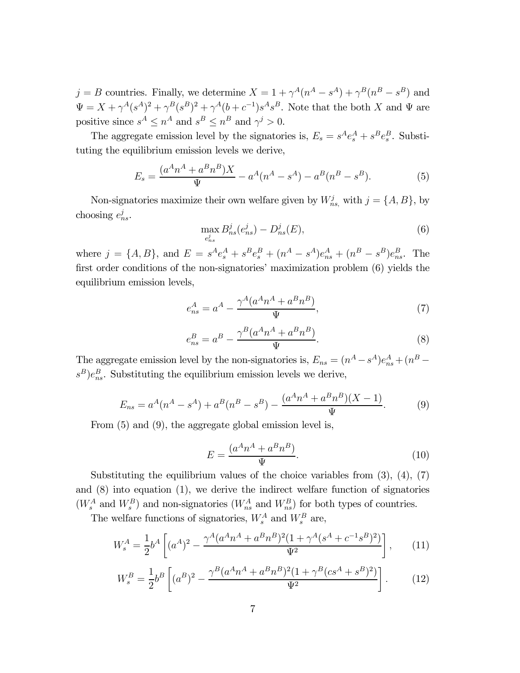$j = B$  countries. Finally, we determine  $X = 1 + \gamma^A (n^A - s^A) + \gamma^B (n^B - s^B)$  and  $\Psi = X + \gamma^A (s^A)^2 + \gamma^B (s^B)^2 + \gamma^A (b + c^{-1}) s^A s^B$ . Note that the both X and  $\Psi$  are positive since  $s^A \leq n^A$  and  $s^B \leq n^B$  and  $\gamma^j > 0.$ 

The aggregate emission level by the signatories is,  $E_s = s^A e_s^A + s^B e_s^B$ . Substituting the equilibrium emission levels we derive,

$$
E_s = \frac{(a^A n^A + a^B n^B)X}{\Psi} - a^A (n^A - s^A) - a^B (n^B - s^B). \tag{5}
$$

Non-signatories maximize their own welfare given by  $W_{ns}^j$ , with  $j = \{A, B\}$ , by choosing  $e_{ns}^j$ .

$$
\max_{e_{ns}^j} B_{ns}^j(e_{ns}^j) - D_{ns}^j(E),\tag{6}
$$

where  $j = \{A, B\}$ , and  $E = s^A e_s^A + s^B e_s^B + (n^A - s^A) e_{ns}^A + (n^B - s^B) e_{ns}^B$ . The first order conditions of the non-signatories' maximization problem (6) yields the equilibrium emission levels,

$$
e_{ns}^A = a^A - \frac{\gamma^A (a^A n^A + a^B n^B)}{\Psi},\tag{7}
$$

$$
e_{ns}^B = a^B - \frac{\gamma^B (a^A n^A + a^B n^B)}{\Psi}.
$$
\n
$$
(8)
$$

The aggregate emission level by the non-signatories is,  $E_{ns} = (n^A - s^A)e_{ns}^A + (n^B - s^A)e_{ns}^A$  $s^B)e_{ns}^B$ . Substituting the equilibrium emission levels we derive,

$$
E_{ns} = a^A(n^A - s^A) + a^B(n^B - s^B) - \frac{(a^A n^A + a^B n^B)(X - 1)}{\Psi}.
$$
 (9)

From (5) and (9), the aggregate global emission level is,

$$
E = \frac{(a^A n^A + a^B n^B)}{\Psi}.
$$
\n(10)

Substituting the equilibrium values of the choice variables from  $(3)$ ,  $(4)$ ,  $(7)$ and (8) into equation (1), we derive the indirect welfare function of signatories  $(W_s^A$  and  $W_s^B)$  and non-signatories  $(W_{ns}^A$  and  $W_{ns}^B)$  for both types of countries.

The welfare functions of signatories,  $W_s^A$  and  $W_s^B$  are,

$$
W_s^A = \frac{1}{2}b^A \left[ (a^A)^2 - \frac{\gamma^A (a^A n^A + a^B n^B)^2 (1 + \gamma^A (s^A + c^{-1} s^B)^2)}{\Psi^2} \right],\tag{11}
$$

$$
W_s^B = \frac{1}{2}b^B \left[ (a^B)^2 - \frac{\gamma^B (a^A n^A + a^B n^B)^2 (1 + \gamma^B (c s^A + s^B)^2)}{\Psi^2} \right].
$$
 (12)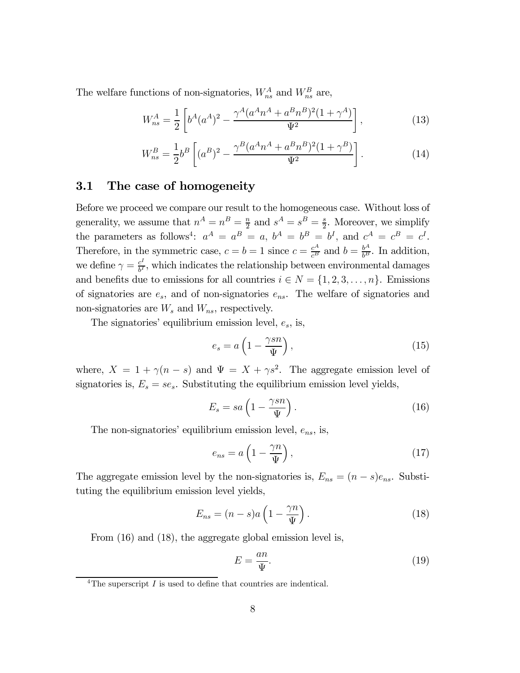The welfare functions of non-signatories,  $W_{ns}^A$  and  $W_{ns}^B$  are,

$$
W_{ns}^A = \frac{1}{2} \left[ b^A (a^A)^2 - \frac{\gamma^A (a^A n^A + a^B n^B)^2 (1 + \gamma^A)}{\Psi^2} \right],
$$
 (13)

$$
W_{ns}^{B} = \frac{1}{2}b^{B}\left[ (a^{B})^{2} - \frac{\gamma^{B}(a^{A}n^{A} + a^{B}n^{B})^{2}(1+\gamma^{B})}{\Psi^{2}} \right].
$$
 (14)

### 3.1 The case of homogeneity

Before we proceed we compare our result to the homogeneous case. Without loss of generality, we assume that  $n^A = n^B = \frac{n}{2}$  and  $s^A = s^B = \frac{s}{2}$ . Moreover, we simplify the parameters as follows<sup>4</sup>:  $a^A = a^B = a$ ,  $b^A = b^B = b^I$ , and  $c^A = c^B = c^I$ . Therefore, in the symmetric case,  $c = b = 1$  since  $c = \frac{c^A}{c^B}$  and  $b = \frac{b^A}{b^B}$ . In addition, we define  $\gamma = \frac{c^I}{b^I}$ , which indicates the relationship between environmental damages and benefits due to emissions for all countries  $i \in N = \{1, 2, 3, \ldots, n\}$ . Emissions of signatories are  $e_s$ , and of non-signatories  $e_{ns}$ . The welfare of signatories and non-signatories are  $W_s$  and  $W_{ns}$ , respectively.

The signatories' equilibrium emission level,  $e_s$ , is,

$$
e_s = a \left( 1 - \frac{\gamma sn}{\Psi} \right),\tag{15}
$$

where,  $X = 1 + \gamma(n - s)$  and  $\Psi = X + \gamma s^2$ . The aggregate emission level of signatories is,  $E_s = s e_s$ . Substituting the equilibrium emission level yields,

$$
E_s = sa\left(1 - \frac{\gamma sn}{\Psi}\right). \tag{16}
$$

The non-signatories' equilibrium emission level,  $e_{ns}$ , is,

$$
e_{ns} = a \left( 1 - \frac{\gamma n}{\Psi} \right),\tag{17}
$$

The aggregate emission level by the non-signatories is,  $E_{ns} = (n - s)e_{ns}$ . Substituting the equilibrium emission level yields,

$$
E_{ns} = (n - s)a\left(1 - \frac{\gamma n}{\Psi}\right). \tag{18}
$$

From  $(16)$  and  $(18)$ , the aggregate global emission level is,

$$
E = \frac{an}{\Psi}.\tag{19}
$$

<sup>&</sup>lt;sup>4</sup>The superscript  $I$  is used to define that countries are indentical.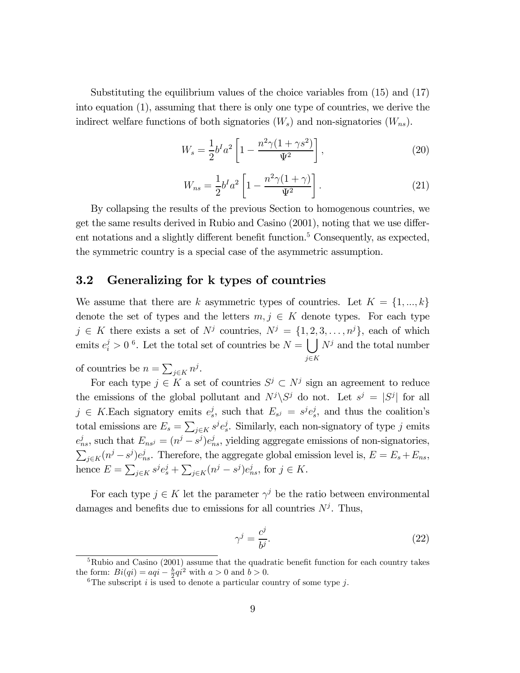Substituting the equilibrium values of the choice variables from (15) and (17) into equation (1), assuming that there is only one type of countries, we derive the indirect welfare functions of both signatories  $(W_s)$  and non-signatories  $(W_{ns})$ .

$$
W_s = \frac{1}{2}b^I a^2 \left[ 1 - \frac{n^2 \gamma (1 + \gamma s^2)}{\Psi^2} \right],
$$
 (20)

$$
W_{ns} = \frac{1}{2}b^I a^2 \left[ 1 - \frac{n^2 \gamma (1 + \gamma)}{\Psi^2} \right].
$$
 (21)

By collapsing the results of the previous Section to homogenous countries, we get the same results derived in Rubio and Casino (2001), noting that we use different notations and a slightly different benefit function.<sup>5</sup> Consequently, as expected, the symmetric country is a special case of the asymmetric assumption.

### 3.2 Generalizing for k types of countries

We assume that there are k asymmetric types of countries. Let  $K = \{1, ..., k\}$ denote the set of types and the letters  $m, j \in K$  denote types. For each type  $j \in K$  there exists a set of  $N^j$  countries,  $N^j = \{1, 2, 3, \ldots, n^j\}$ , each of which emits  $e_i^j > 0$ <sup>6</sup>. Let the total set of countries be  $N = \bigcup N^j$  and the total number  $i \in K$ 

of countries be  $n = \sum_{j \in K} n^j$ .

For each type  $j \in K$  a set of countries  $S^j \subset N^j$  sign an agreement to reduce the emissions of the global pollutant and  $N^{j}\backslash S^{j}$  do not. Let  $s^{j} = |S^{j}|$  for all  $j \in K$ . Each signatory emits  $e_s^j$ , such that  $E_{s^j} = s^j e_s^j$ , and thus the coalition's total emissions are  $E_s = \sum_{j \in K} s^j e_s^j$ . Similarly, each non-signatory of type j emits  $e_{ns}^j$ , such that  $E_{ns} = (n^j - s^j)e_{ns}^j$ , yielding aggregate emissions of non-signatories,  $\sum_{j \in K} (n^j - s^j) e_{ns}^j$ . Therefore, the aggregate global emission level is,  $E = E_s + E_{ns}$ , hence  $E = \sum_{j \in K} s^j e_s^j + \sum_{j \in K} (n^j - s^j) e_{ns}^j$ , for  $j \in K$ .

For each type  $j \in K$  let the parameter  $\gamma^{j}$  be the ratio between environmental damages and benefits due to emissions for all countries  $N^j$ . Thus,

$$
\gamma^j = \frac{c^j}{b^j}.\tag{22}
$$

 ${}^{5}$ Rubio and Casino (2001) assume that the quadratic benefit function for each country takes the form:  $Bi(qi) = aqi - \frac{b}{2}qi^2$  with  $a > 0$  and  $b > 0$ .

<sup>&</sup>lt;sup>6</sup>The subscript *i* is used to denote a particular country of some type *j*.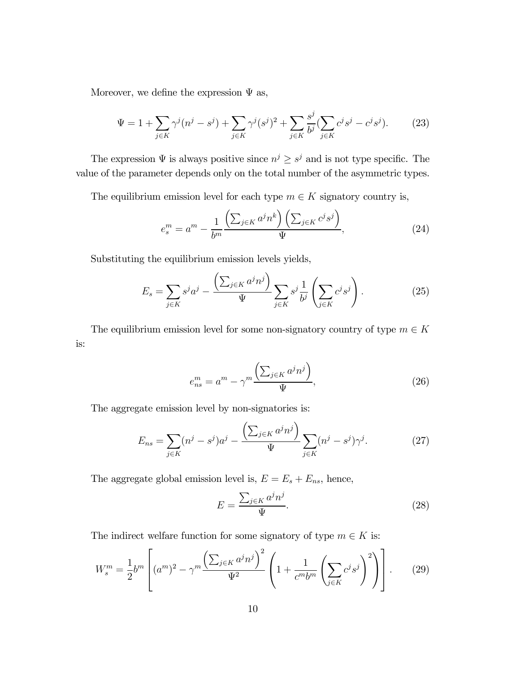Moreover, we define the expression  $\Psi$  as,

$$
\Psi = 1 + \sum_{j \in K} \gamma^j (n^j - s^j) + \sum_{j \in K} \gamma^j (s^j)^2 + \sum_{j \in K} \frac{s^j}{b^j} (\sum_{j \in K} c^j s^j - c^j s^j).
$$
 (23)

The expression  $\Psi$  is always positive since  $n^j \geq s^j$  and is not type specific. The value of the parameter depends only on the total number of the asymmetric types.

The equilibrium emission level for each type  $m \in K$  signatory country is,

$$
e_s^m = a^m - \frac{1}{b^m} \frac{\left(\sum_{j \in K} a^j n^k\right) \left(\sum_{j \in K} c^j s^j\right)}{\Psi},\tag{24}
$$

Substituting the equilibrium emission levels yields,

$$
E_s = \sum_{j \in K} s^j a^j - \frac{\left(\sum_{j \in K} a^j n^j\right)}{\Psi} \sum_{j \in K} s^j \frac{1}{b^j} \left(\sum_{j \in K} c^j s^j\right). \tag{25}
$$

The equilibrium emission level for some non-signatory country of type  $m \in K$ is:

$$
e_{ns}^{m} = a^{m} - \gamma^{m} \frac{\left(\sum_{j \in K} a^{j} n^{j}\right)}{\Psi},\tag{26}
$$

The aggregate emission level by non-signatories is:

$$
E_{ns} = \sum_{j \in K} (n^j - s^j) a^j - \frac{\left(\sum_{j \in K} a^j n^j\right)}{\Psi} \sum_{j \in K} (n^j - s^j) \gamma^j.
$$
 (27)

The aggregate global emission level is,  $E = E_s + E_{ns}$ , hence,

$$
E = \frac{\sum_{j \in K} a^j n^j}{\Psi}.
$$
\n(28)

The indirect welfare function for some signatory of type  $m \in K$  is:

$$
W_s^m = \frac{1}{2} b^m \left[ (a^m)^2 - \gamma^m \frac{\left( \sum_{j \in K} a^j n^j \right)^2}{\Psi^2} \left( 1 + \frac{1}{c^m b^m} \left( \sum_{j \in K} c^j s^j \right)^2 \right) \right].
$$
 (29)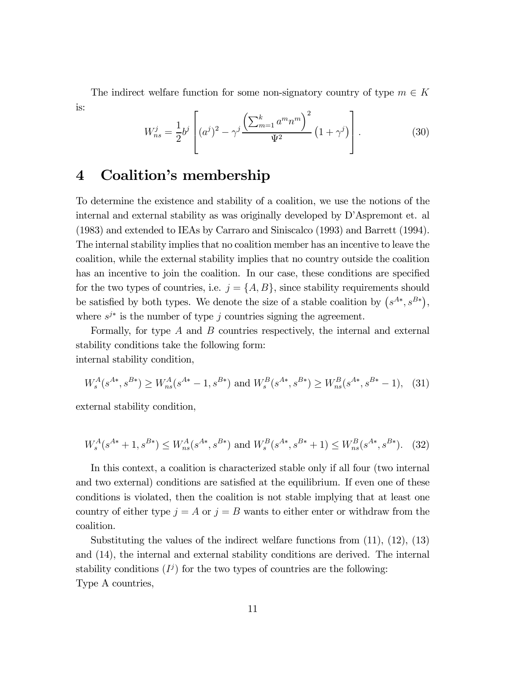The indirect welfare function for some non-signatory country of type  $m \in K$ is:

$$
W_{ns}^{j} = \frac{1}{2}b^{j} \left[ (a^{j})^{2} - \gamma^{j} \frac{\left(\sum_{m=1}^{k} a^{m} n^{m}\right)^{2}}{\Psi^{2}} \left(1 + \gamma^{j}\right) \right].
$$
 (30)

# 4 Coalition's membership

To determine the existence and stability of a coalition, we use the notions of the internal and external stability as was originally developed by D'Aspremont et. al (1983) and extended to IEAs by Carraro and Siniscalco (1993) and Barrett (1994). The internal stability implies that no coalition member has an incentive to leave the coalition, while the external stability implies that no country outside the coalition has an incentive to join the coalition. In our case, these conditions are specified for the two types of countries, i.e.  $j = \{A, B\}$ , since stability requirements should be satisfied by both types. We denote the size of a stable coalition by  $(s^{A*}, s^{B*})$ , where  $s^{j*}$  is the number of type *j* countries signing the agreement.

Formally, for type  $A$  and  $B$  countries respectively, the internal and external stability conditions take the following form: internal stability condition,

$$
W_s^A(s^{A*}, s^{B*}) \ge W_{ns}^A(s^{A*} - 1, s^{B*}) \text{ and } W_s^B(s^{A*}, s^{B*}) \ge W_{ns}^B(s^{A*}, s^{B*} - 1), \tag{31}
$$

external stability condition,

$$
W_s^A(s^{A*} + 1, s^{B*}) \le W_{ns}^A(s^{A*}, s^{B*}) \text{ and } W_s^B(s^{A*}, s^{B*} + 1) \le W_{ns}^B(s^{A*}, s^{B*}). \tag{32}
$$

In this context, a coalition is characterized stable only if all four (two internal and two external) conditions are satisfied at the equilibrium. If even one of these conditions is violated, then the coalition is not stable implying that at least one country of either type  $j = A$  or  $j = B$  wants to either enter or withdraw from the coalition.

Substituting the values of the indirect welfare functions from (11), (12), (13) and (14), the internal and external stability conditions are derived. The internal stability conditions  $(I^j)$  for the two types of countries are the following: Type A countries,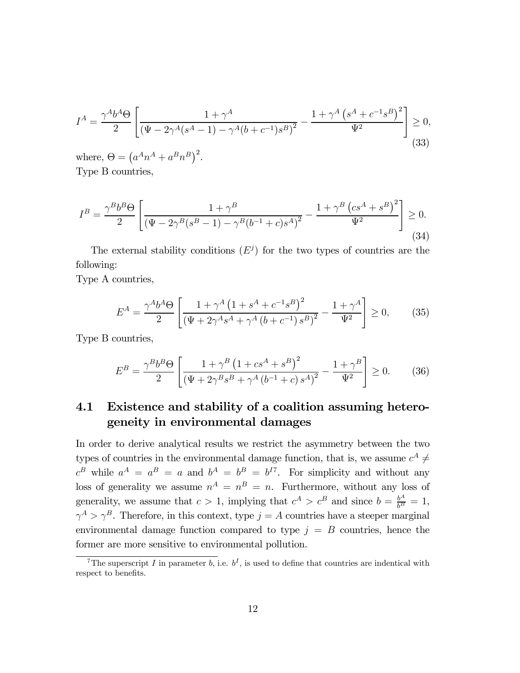$$
I^{A} = \frac{\gamma^{A}b^{A}\Theta}{2} \left[ \frac{1 + \gamma^{A}}{\left(\Psi - 2\gamma^{A}(s^{A} - 1) - \gamma^{A}(b + c^{-1})s^{B}\right)^{2}} - \frac{1 + \gamma^{A}\left(s^{A} + c^{-1}s^{B}\right)^{2}}{\Psi^{2}} \right] \geq 0,
$$
\n(33)

where,  $\Theta = (a^A n^A + a^B n^B)^2$ . Type B countries,

$$
I^{B} = \frac{\gamma^{B}b^{B}\Theta}{2} \left[ \frac{1+\gamma^{B}}{\left(\Psi - 2\gamma^{B}(s^{B}-1) - \gamma^{B}(b^{-1}+c)s^{A}\right)^{2}} - \frac{1+\gamma^{B}(cs^{A}+s^{B})^{2}}{\Psi^{2}} \right] \geq 0.
$$
\n(34)

The external stability conditions  $(E^j)$  for the two types of countries are the following:

Type A countries,

$$
E^{A} = \frac{\gamma^{A}b^{A}\Theta}{2} \left[ \frac{1 + \gamma^{A} \left( 1 + s^{A} + c^{-1}s^{B} \right)^{2}}{\left( \Psi + 2\gamma^{A}s^{A} + \gamma^{A} \left( b + c^{-1} \right)s^{B} \right)^{2}} - \frac{1 + \gamma^{A}}{\Psi^{2}} \right] \ge 0, \quad (35)
$$

Type B countries,

$$
E^{B} = \frac{\gamma^{B}b^{B}\Theta}{2} \left[ \frac{1 + \gamma^{B} \left( 1 + cs^{A} + s^{B} \right)^{2}}{\left( \Psi + 2\gamma^{B}s^{B} + \gamma^{A} \left( b^{-1} + c \right) s^{A} \right)^{2}} - \frac{1 + \gamma^{B}}{\Psi^{2}} \right] \ge 0.
$$
 (36)

### 4.1 Existence and stability of a coalition assuming heterogeneity in environmental damages

In order to derive analytical results we restrict the asymmetry between the two types of countries in the environmental damage function, that is, we assume  $c^A \neq$  $c^B$  while  $a^A = a^B = a$  and  $b^A = b^B = b^{I7}$ . For simplicity and without any loss of generality we assume  $n^A = n^B = n$ . Furthermore, without any loss of generality, we assume that  $c > 1$ , implying that  $c^A > c^B$  and since  $b = \frac{b^A}{b^B} = 1$ ,  $\gamma^A > \gamma^B$ . Therefore, in this context, type  $j = A$  countries have a steeper marginal environmental damage function compared to type  $j = B$  countries, hence the former are more sensitive to environmental pollution.

<sup>&</sup>lt;sup>7</sup>The superscript *I* in parameter *b*, i.e.  $b^I$ , is used to define that countries are indentical with respect to benefits.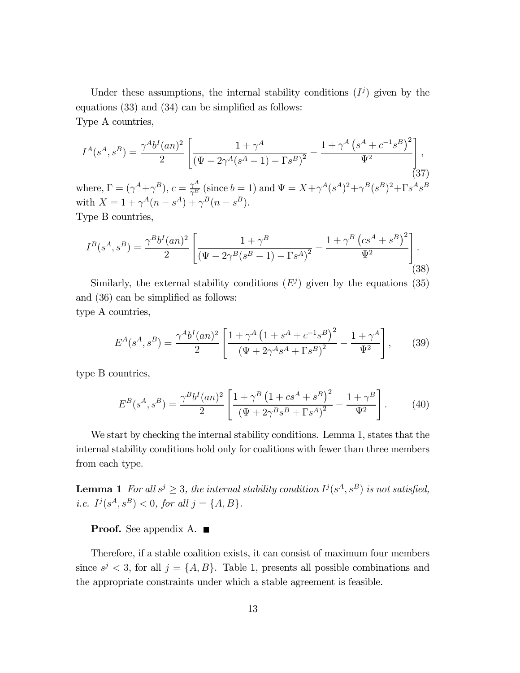Under these assumptions, the internal stability conditions  $(I^j)$  given by the equations (33) and (34) can be simplified as follows: Type A countries,

$$
I^{A}(s^{A}, s^{B}) = \frac{\gamma^{A}b^{I}(an)^{2}}{2} \left[ \frac{1 + \gamma^{A}}{(\Psi - 2\gamma^{A}(s^{A} - 1) - \Gamma s^{B})^{2}} - \frac{1 + \gamma^{A}(s^{A} + c^{-1}s^{B})^{2}}{\Psi^{2}} \right],
$$
\n(37)

where,  $\Gamma = (\gamma^A + \gamma^B)$ ,  $c = \frac{\gamma^A}{\gamma^B}$  (since  $b = 1$ ) and  $\Psi = X + \gamma^A (s^A)^2 + \gamma^B (s^B)^2 + \Gamma s^A s^B$ with  $X = 1 + \gamma^A (n - s^A) + \gamma^B (n - s^B)$ . Type B countries,

$$
I^{B}(s^{A}, s^{B}) = \frac{\gamma^{B} b^{I}(an)^{2}}{2} \left[ \frac{1 + \gamma^{B}}{\left(\Psi - 2\gamma^{B}(s^{B} - 1) - \Gamma s^{A}\right)^{2}} - \frac{1 + \gamma^{B} \left(c s^{A} + s^{B}\right)^{2}}{\Psi^{2}} \right].
$$
\n(38)

Similarly, the external stability conditions  $(E^j)$  given by the equations (35) and (36) can be simplified as follows: type A countries,

$$
E^{A}(s^{A}, s^{B}) = \frac{\gamma^{A} b^{I}(an)^{2}}{2} \left[ \frac{1 + \gamma^{A} (1 + s^{A} + c^{-1} s^{B})^{2}}{(\Psi + 2\gamma^{A} s^{A} + \Gamma s^{B})^{2}} - \frac{1 + \gamma^{A}}{\Psi^{2}} \right],
$$
 (39)

type B countries,

$$
E^{B}(s^{A}, s^{B}) = \frac{\gamma^{B} b^{I}(an)^{2}}{2} \left[ \frac{1 + \gamma^{B} (1 + cs^{A} + s^{B})^{2}}{(\Psi + 2\gamma^{B} s^{B} + \Gamma s^{A})^{2}} - \frac{1 + \gamma^{B}}{\Psi^{2}} \right].
$$
 (40)

We start by checking the internal stability conditions. Lemma 1, states that the internal stability conditions hold only for coalitions with fewer than three members from each type.

**Lemma 1** For all  $s^j \geq 3$ , the internal stability condition  $I^j(s^A, s^B)$  is not satisfied, i.e.  $I^j(s^A, s^B) < 0$ , for all  $j = \{A, B\}.$ 

#### **Proof.** See appendix A.  $\blacksquare$

Therefore, if a stable coalition exists, it can consist of maximum four members since  $s^j < 3$ , for all  $j = \{A, B\}$ . Table 1, presents all possible combinations and the appropriate constraints under which a stable agreement is feasible.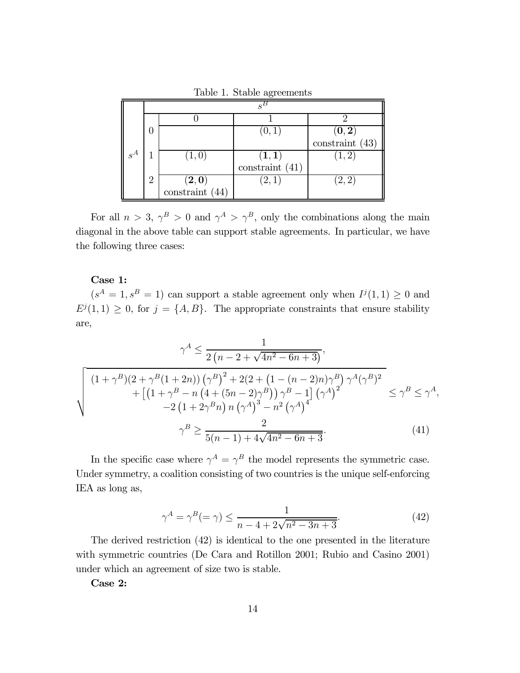|                 |                |                              | (0, 1                        | $(0,2)$<br>constraint (43) |  |
|-----------------|----------------|------------------------------|------------------------------|----------------------------|--|
|                 |                |                              |                              |                            |  |
| $\parallel s^A$ |                | (1,0)                        |                              | $\left( 1,2\right)$        |  |
|                 |                |                              | $(1,1)$<br>constraint $(41)$ |                            |  |
|                 | $\overline{2}$ | $(2,0)$<br>constraint $(44)$ | $\left( 2,1\right)$          | (2,2)                      |  |
|                 |                |                              |                              |                            |  |

Table 1. Stable agreements

For all  $n > 3$ ,  $\gamma^B > 0$  and  $\gamma^A > \gamma^B$ , only the combinations along the main diagonal in the above table can support stable agreements. In particular, we have the following three cases:

#### Case 1:

 $(s<sup>A</sup> = 1, s<sup>B</sup> = 1)$  can support a stable agreement only when  $I<sup>j</sup>(1,1) \geq 0$  and  $E^{j}(1,1) \geq 0$ , for  $j = \{A, B\}$ . The appropriate constraints that ensure stability are,

$$
\gamma^{A} \leq \frac{1}{2(n-2+\sqrt{4n^{2}-6n+3})},
$$
\n
$$
\sqrt{\frac{(1+\gamma^{B})(2+\gamma^{B}(1+2n))(\gamma^{B})^{2}+2(2+(1-(n-2)n)\gamma^{B})\gamma^{A}(\gamma^{B})^{2}}{+\left[(1+\gamma^{B}-n(4+(5n-2)\gamma^{B}))\gamma^{B}-1\right](\gamma^{A})^{2}} \leq \gamma^{B} \leq \gamma^{A},
$$
\n
$$
-2(1+2\gamma^{B}n)n(\gamma^{A})^{3}-n^{2}(\gamma^{A})^{4}} \quad \gamma^{B} \geq \frac{2}{5(n-1)+4\sqrt{4n^{2}-6n+3}}.
$$
\n(41)

In the specific case where  $\gamma^A = \gamma^B$  the model represents the symmetric case. Under symmetry, a coalition consisting of two countries is the unique self-enforcing IEA as long as,

$$
\gamma^A = \gamma^B (= \gamma) \le \frac{1}{n - 4 + 2\sqrt{n^2 - 3n + 3}}.\tag{42}
$$

The derived restriction (42) is identical to the one presented in the literature with symmetric countries (De Cara and Rotillon 2001; Rubio and Casino 2001) under which an agreement of size two is stable.

Case 2: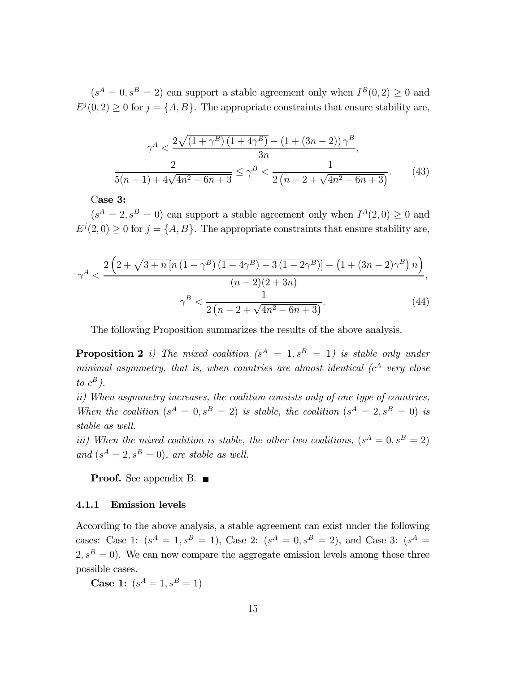$(s<sup>A</sup> = 0, s<sup>B</sup> = 2)$  can support a stable agreement only when  $I<sup>B</sup>(0, 2) \ge 0$  and  $E^{j}(0, 2) \geq 0$  for  $j = \{A, B\}$ . The appropriate constraints that ensure stability are,

$$
\gamma^A < \frac{2\sqrt{\left(1+\gamma^B\right)\left(1+4\gamma^B\right)} - \left(1+\left(3n-2\right)\right)\gamma^B}{3n},
$$
\n
$$
\frac{2}{5(n-1) + 4\sqrt{4n^2 - 6n + 3}} \le \gamma^B < \frac{1}{2\left(n - 2 + \sqrt{4n^2 - 6n + 3}\right)}.\tag{43}
$$

Case 3:

 $(s<sup>A</sup> = 2, s<sup>B</sup> = 0)$  can support a stable agreement only when  $I<sup>A</sup>(2,0) \ge 0$  and  $E^{j}(2,0) \geq 0$  for  $j = \{A, B\}$ . The appropriate constraints that ensure stability are,

$$
\gamma^A < \frac{2\left(2+\sqrt{3+n\left[n\left(1-\gamma^B\right)\left(1-4\gamma^B\right)-3\left(1-2\gamma^B\right)\right]} - \left(1+(3n-2)\gamma^B\right)n\right)}{(n-2)(2+3n)},
$$

$$
\gamma^B < \frac{1}{2\left(n-2+\sqrt{4n^2-6n+3}\right)}.
$$
(44)

The following Proposition summarizes the results of the above analysis.

**Proposition 2** i) The mixed coalition  $(s^A = 1, s^B = 1)$  is stable only under minimal asymmetry, that is, when countries are almost identical ( $c<sup>A</sup>$  very close to  $c^B$ ).

ii) When asymmetry increases, the coalition consists only of one type of countries, When the coalition  $(s^A = 0, s^B = 2)$  is stable, the coalition  $(s^A = 2, s^B = 0)$  is stable as well.

iii) When the mixed coalition is stable, the other two coalitions,  $(s^A = 0, s^B = 2)$ and  $(s^A = 2, s^B = 0)$ , are stable as well.

Proof. See appendix B. ■

#### 4.1.1 Emission levels

According to the above analysis, a stable agreement can exist under the following cases: Case 1:  $(s^A = 1, s^B = 1)$ , Case 2:  $(s^A = 0, s^B = 2)$ , and Case 3:  $(s^A = 1)$  $2, s<sup>B</sup> = 0$ . We can now compare the aggregate emission levels among these three possible cases.

**Case 1:**  $(s^A = 1, s^B = 1)$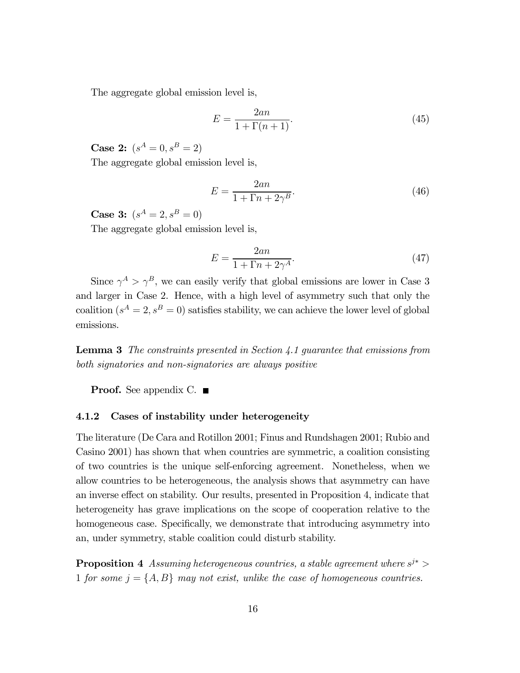The aggregate global emission level is,

$$
E = \frac{2an}{1 + \Gamma(n+1)}.\tag{45}
$$

**Case 2:**  $(s^A = 0, s^B = 2)$ 

The aggregate global emission level is,

$$
E = \frac{2an}{1 + \Gamma n + 2\gamma^B}.\tag{46}
$$

**Case 3:**  $(s^A = 2, s^B = 0)$ 

The aggregate global emission level is,

$$
E = \frac{2an}{1 + \Gamma n + 2\gamma^A}.\tag{47}
$$

Since  $\gamma^A > \gamma^B$ , we can easily verify that global emissions are lower in Case 3 and larger in Case 2. Hence, with a high level of asymmetry such that only the coalition  $(s^A = 2, s^B = 0)$  satisfies stability, we can achieve the lower level of global emissions.

**Lemma 3** The constraints presented in Section 4.1 quarantee that emissions from both signatories and non-signatories are always positive

**Proof.** See appendix C.  $\blacksquare$ 

#### 4.1.2 Cases of instability under heterogeneity

The literature (De Cara and Rotillon 2001; Finus and Rundshagen 2001; Rubio and Casino 2001) has shown that when countries are symmetric, a coalition consisting of two countries is the unique self-enforcing agreement. Nonetheless, when we allow countries to be heterogeneous, the analysis shows that asymmetry can have an inverse effect on stability. Our results, presented in Proposition 4, indicate that heterogeneity has grave implications on the scope of cooperation relative to the homogeneous case. Specifically, we demonstrate that introducing asymmetry into an, under symmetry, stable coalition could disturb stability.

**Proposition 4** Assuming heterogeneous countries, a stable agreement where  $s^{j*}$ 1 for some  $j = \{A, B\}$  may not exist, unlike the case of homogeneous countries.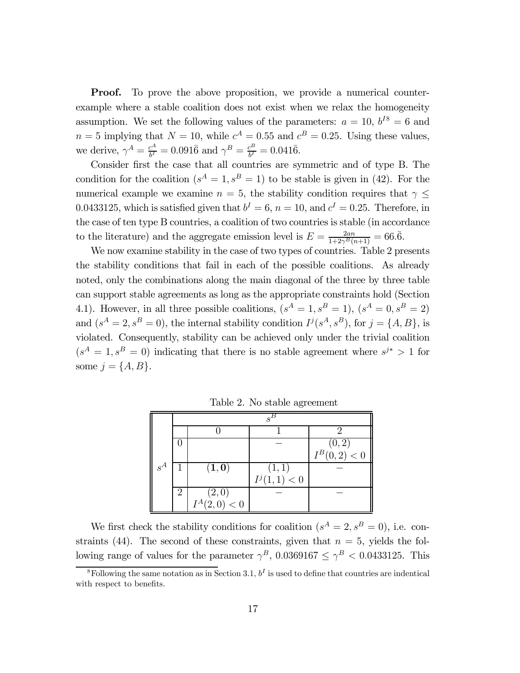**Proof.** To prove the above proposition, we provide a numerical counterexample where a stable coalition does not exist when we relax the homogeneity assumption. We set the following values of the parameters:  $a = 10$ ,  $b^{18} = 6$  and  $n = 5$  implying that  $N = 10$ , while  $c<sup>A</sup> = 0.55$  and  $c<sup>B</sup> = 0.25$ . Using these values, we derive,  $\gamma^{A} = \frac{c^{A}}{b^{I}} = 0.091\bar{6}$  and  $\gamma^{B} = \frac{c^{B}}{b^{I}} = 0.041\bar{6}$ .

Consider first the case that all countries are symmetric and of type B. The condition for the coalition  $(s^A = 1, s^B = 1)$  to be stable is given in (42). For the numerical example we examine  $n = 5$ , the stability condition requires that  $\gamma \leq$ 0.0433125, which is satisfied given that  $b^I = 6$ ,  $n = 10$ , and  $c^I = 0.25$ . Therefore, in the case of ten type B countries, a coalition of two countries is stable (in accordance to the literature) and the aggregate emission level is  $E = \frac{2an}{1+2\gamma^B(n+1)} = 66.\overline{6}.$ 

We now examine stability in the case of two types of countries. Table 2 presents the stability conditions that fail in each of the possible coalitions. As already noted, only the combinations along the main diagonal of the three by three table can support stable agreements as long as the appropriate constraints hold (Section 4.1). However, in all three possible coalitions,  $(s^A = 1, s^B = 1)$ ,  $(s^A = 0, s^B = 2)$ and  $(s^A = 2, s^B = 0)$ , the internal stability condition  $I^j(s^A, s^B)$ , for  $j = \{A, B\}$ , is violated. Consequently, stability can be achieved only under the trivial coalition  $(s<sup>A</sup> = 1, s<sup>B</sup> = 0)$  indicating that there is no stable agreement where  $s<sup>j*</sup> > 1$  for some  $j = \{A, B\}.$ 

|       | $\mathbf{S}^{\perp}$ |                           |                |                 |  |  |
|-------|----------------------|---------------------------|----------------|-----------------|--|--|
|       |                      |                           |                |                 |  |  |
|       |                      |                           |                | (0, 2)          |  |  |
|       |                      |                           |                | $I^B(0, 2) < 0$ |  |  |
| $s^A$ |                      | $(\mathbf{1},\mathbf{0})$ | (1,1)          |                 |  |  |
|       |                      |                           | $I^j(1,1) < 0$ |                 |  |  |
|       | 2                    | $(2,0)$<br>$I^A(2,0) < 0$ |                |                 |  |  |
|       |                      |                           |                |                 |  |  |

Table 2. No stable agreement

We first check the stability conditions for coalition  $(s^A = 2, s^B = 0)$ , i.e. constraints (44). The second of these constraints, given that  $n = 5$ , yields the following range of values for the parameter  $\gamma^B$ , 0.0369167  $\leq \gamma^B < 0.0433125$ . This

<sup>&</sup>lt;sup>8</sup>Following the same notation as in Section 3.1,  $b<sup>I</sup>$  is used to define that countries are indentical with respect to benefits.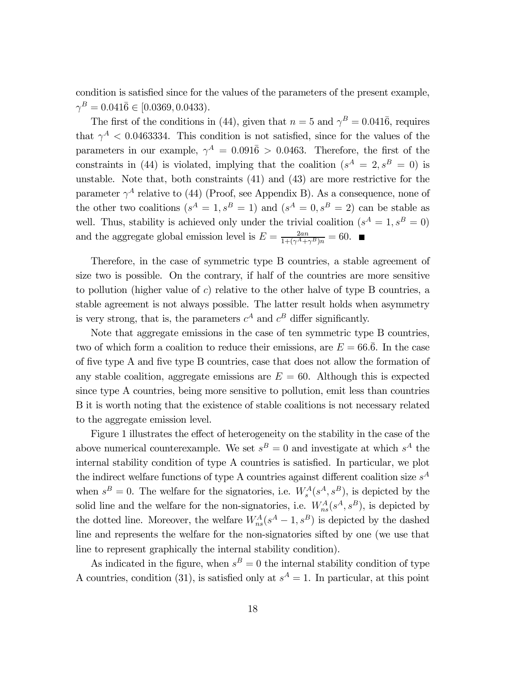condition is satisfied since for the values of the parameters of the present example,  $\gamma^B = 0.041\overline{6} \in [0.0369, 0.0433].$ 

The first of the conditions in (44), given that  $n = 5$  and  $\gamma^{B} = 0.041\overline{6}$ , requires that  $\gamma^A$  < 0.0463334. This condition is not satisfied, since for the values of the parameters in our example,  $\gamma^A = 0.091\bar{6} > 0.0463$ . Therefore, the first of the constraints in (44) is violated, implying that the coalition  $(s^A = 2, s^B = 0)$  is unstable. Note that, both constraints (41) and (43) are more restrictive for the parameter  $\gamma^A$  relative to (44) (Proof, see Appendix B). As a consequence, none of the other two coalitions  $(s^A = 1, s^B = 1)$  and  $(s^A = 0, s^B = 2)$  can be stable as well. Thus, stability is achieved only under the trivial coalition  $(s^A = 1, s^B = 0)$ and the aggregate global emission level is  $E = \frac{2an}{1+(\gamma^A+\gamma^B)n} = 60.$ 

Therefore, in the case of symmetric type B countries, a stable agreement of size two is possible. On the contrary, if half of the countries are more sensitive to pollution (higher value of  $c$ ) relative to the other halve of type B countries, a stable agreement is not always possible. The latter result holds when asymmetry is very strong, that is, the parameters  $c^A$  and  $c^B$  differ significantly.

Note that aggregate emissions in the case of ten symmetric type B countries, two of which form a coalition to reduce their emissions, are  $E = 66.6$ . In the case of five type A and five type B countries, case that does not allow the formation of any stable coalition, aggregate emissions are  $E = 60$ . Although this is expected since type A countries, being more sensitive to pollution, emit less than countries B it is worth noting that the existence of stable coalitions is not necessary related to the aggregate emission level.

Figure 1 illustrates the effect of heterogeneity on the stability in the case of the above numerical counterexample. We set  $s^B = 0$  and investigate at which  $s^A$  the internal stability condition of type A countries is satisfied. In particular, we plot the indirect welfare functions of type A countries against different coalition size  $s^A$ when  $s^B = 0$ . The welfare for the signatories, i.e.  $W_s^A(s^A, s^B)$ , is depicted by the solid line and the welfare for the non-signatories, i.e.  $W^A_{ns}(s^A, s^B)$ , is depicted by the dotted line. Moreover, the welfare  $W_{ns}^A(s^A - 1, s^B)$  is depicted by the dashed line and represents the welfare for the non-signatories sifted by one (we use that line to represent graphically the internal stability condition).

As indicated in the figure, when  $s^B = 0$  the internal stability condition of type A countries, condition (31), is satisfied only at  $s<sup>A</sup> = 1$ . In particular, at this point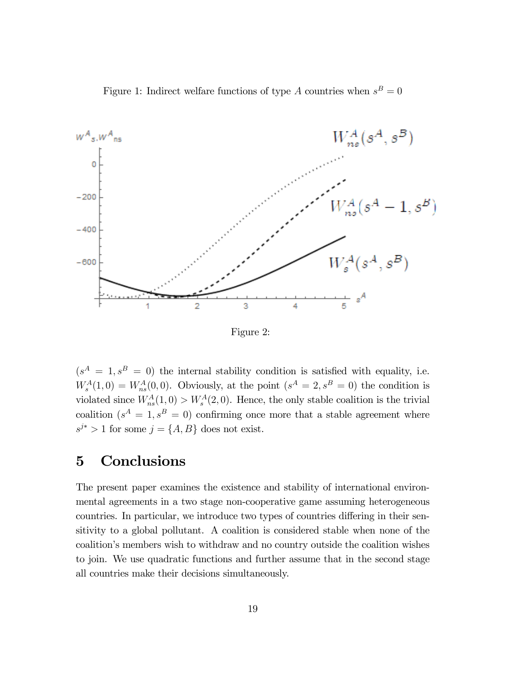Figure 1: Indirect welfare functions of type A countries when  $s^B = 0$ 



Figure 2:

 $(s<sup>A</sup> = 1, s<sup>B</sup> = 0)$  the internal stability condition is satisfied with equality, i.e.  $W_s^A(1,0) = W_{ns}^A(0,0)$ . Obviously, at the point  $(s^A = 2, s^B = 0)$  the condition is violated since  $W_{ns}^A(1,0) > W_s^A(2,0)$ . Hence, the only stable coalition is the trivial coalition  $(s^A = 1, s^B = 0)$  confirming once more that a stable agreement where  $s^{j*} > 1$  for some  $j = \{A, B\}$  does not exist.

# 5 Conclusions

The present paper examines the existence and stability of international environmental agreements in a two stage non-cooperative game assuming heterogeneous countries. In particular, we introduce two types of countries differing in their sensitivity to a global pollutant. A coalition is considered stable when none of the coalition's members wish to withdraw and no country outside the coalition wishes to join. We use quadratic functions and further assume that in the second stage all countries make their decisions simultaneously.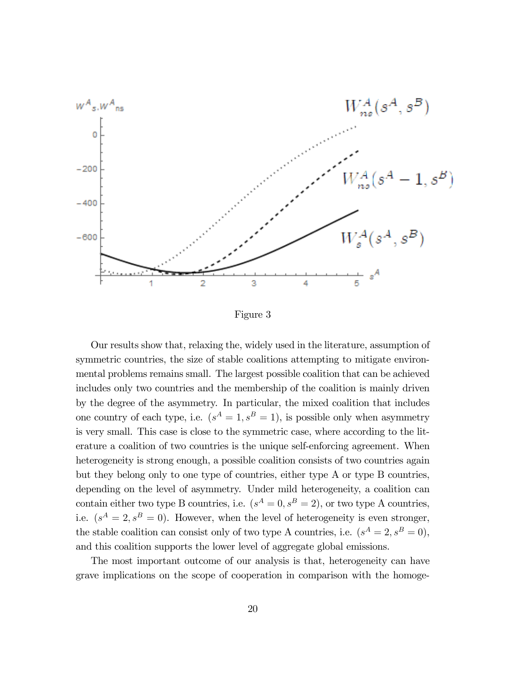

Figure 3

Our results show that, relaxing the, widely used in the literature, assumption of symmetric countries, the size of stable coalitions attempting to mitigate environmental problems remains small. The largest possible coalition that can be achieved includes only two countries and the membership of the coalition is mainly driven by the degree of the asymmetry. In particular, the mixed coalition that includes one country of each type, i.e.  $(s^A = 1, s^B = 1)$ , is possible only when asymmetry is very small. This case is close to the symmetric case, where according to the literature a coalition of two countries is the unique self-enforcing agreement. When heterogeneity is strong enough, a possible coalition consists of two countries again but they belong only to one type of countries, either type A or type B countries, depending on the level of asymmetry. Under mild heterogeneity, a coalition can contain either two type B countries, i.e.  $(s^A = 0, s^B = 2)$ , or two type A countries, i.e.  $(s^A = 2, s^B = 0)$ . However, when the level of heterogeneity is even stronger, the stable coalition can consist only of two type A countries, i.e.  $(s^A = 2, s^B = 0)$ , and this coalition supports the lower level of aggregate global emissions.

The most important outcome of our analysis is that, heterogeneity can have grave implications on the scope of cooperation in comparison with the homoge-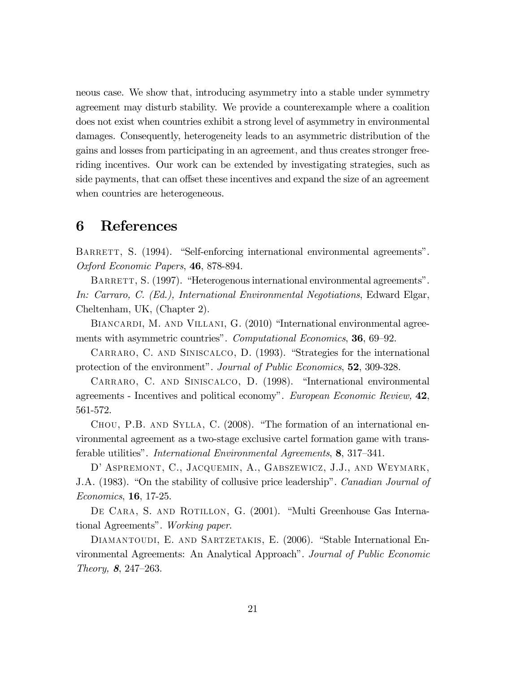neous case. We show that, introducing asymmetry into a stable under symmetry agreement may disturb stability. We provide a counterexample where a coalition does not exist when countries exhibit a strong level of asymmetry in environmental damages. Consequently, heterogeneity leads to an asymmetric distribution of the gains and losses from participating in an agreement, and thus creates stronger freeriding incentives. Our work can be extended by investigating strategies, such as side payments, that can offset these incentives and expand the size of an agreement when countries are heterogeneous.

# 6 References

BARRETT, S. (1994). "Self-enforcing international environmental agreements". Oxford Economic Papers, 46, 878-894.

BARRETT, S. (1997). "Heterogenous international environmental agreements". In: Carraro, C. (Ed.), International Environmental Negotiations, Edward Elgar, Cheltenham, UK, (Chapter 2).

BIANCARDI, M. AND VILLANI, G. (2010) "International environmental agreements with asymmetric countries". Computational Economics, **36**, 69–92.

Carraro, C. and Siniscalco, D. (1993). "Strategies for the international protection of the environment". Journal of Public Economics, 52, 309-328.

Carraro, C. and Siniscalco, D. (1998). "International environmental agreements - Incentives and political economy". European Economic Review, 42, 561-572.

Chou, P.B. and Sylla, C. (2008). "The formation of an international environmental agreement as a two-stage exclusive cartel formation game with transferable utilities". International Environmental Agreements, 8, 317—341.

D' Aspremont, C., Jacquemin, A., Gabszewicz, J.J., and Weymark, J.A. (1983). "On the stability of collusive price leadership". Canadian Journal of Economics, 16, 17-25.

DE CARA, S. AND ROTILLON, G. (2001). "Multi Greenhouse Gas International Agreements". Working paper.

DIAMANTOUDI, E. AND SARTZETAKIS, E. (2006). "Stable International Environmental Agreements: An Analytical Approach". Journal of Public Economic Theory, 8, 247—263.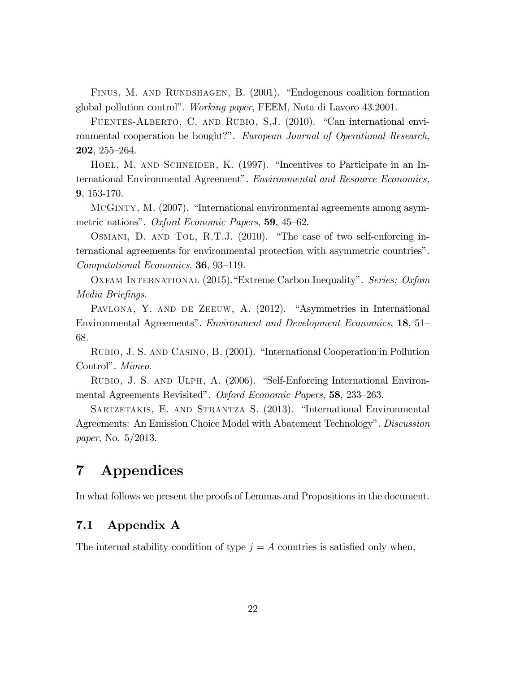FINUS, M. AND RUNDSHAGEN, B. (2001). "Endogenous coalition formation global pollution control". Working paper, FEEM, Nota di Lavoro 43.2001.

Fuentes-Alberto, C. and Rubio, S.J. (2010). "Can international environmental cooperation be bought?". European Journal of Operational Research, 202, 255—264.

HOEL, M. AND SCHNEIDER, K. (1997). "Incentives to Participate in an International Environmental Agreement". Environmental and Resource Economics, 9, 153-170.

McGinty, M. (2007). "International environmental agreements among asymmetric nations". Oxford Economic Papers, 59, 45—62.

Osmani, D. and Tol, R.T.J. (2010). "The case of two self-enforcing international agreements for environmental protection with asymmetric countries". Computational Economics, 36, 93—119.

OXFAM INTERNATIONAL (2015). "Extreme Carbon Inequality". Series: Oxfam Media Briefings.

PAVLONA, Y. AND DE ZEEUW, A. (2012). "Asymmetries in International Environmental Agreements". Environment and Development Economics, 18, 51— 68.

Rubio, J. S. and Casino, B. (2001). "International Cooperation in Pollution Control". Mimeo.

Rubio, J. S. and Ulph, A. (2006). "Self-Enforcing International Environmental Agreements Revisited". Oxford Economic Papers, 58, 233—263.

Sartzetakis, E. and Strantza S. (2013). "International Environmental Agreements: An Emission Choice Model with Abatement Technology". *Discussion* paper, No. 5/2013.

# 7 Appendices

In what follows we present the proofs of Lemmas and Propositions in the document.

### 7.1 Appendix A

The internal stability condition of type  $j = A$  countries is satisfied only when,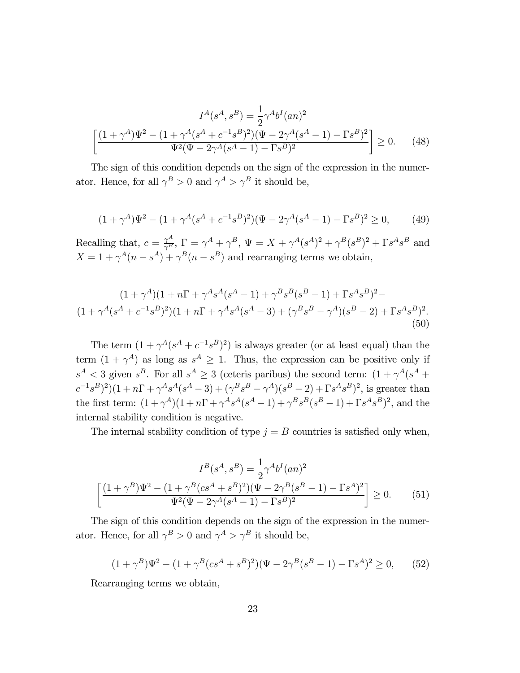$$
I^{A}(s^{A}, s^{B}) = \frac{1}{2} \gamma^{A} b^{I}(an)^{2}
$$

$$
\left[ \frac{(1+\gamma^{A})\Psi^{2} - (1+\gamma^{A}(s^{A} + c^{-1}s^{B})^{2})(\Psi - 2\gamma^{A}(s^{A} - 1) - \Gamma s^{B})^{2}}{\Psi^{2}(\Psi - 2\gamma^{A}(s^{A} - 1) - \Gamma s^{B})^{2}} \right] \ge 0.
$$
 (48)

The sign of this condition depends on the sign of the expression in the numerator. Hence, for all  $\gamma^B > 0$  and  $\gamma^A > \gamma^B$  it should be,

$$
(1 + \gamma^A)\Psi^2 - (1 + \gamma^A(s^A + c^{-1}s^B)^2)(\Psi - 2\gamma^A(s^A - 1) - \Gamma s^B)^2 \ge 0,
$$
 (49)

Recalling that,  $c = \frac{\gamma^A}{\gamma^B}$ ,  $\Gamma = \gamma^A + \gamma^B$ ,  $\Psi = X + \gamma^A (s^A)^2 + \gamma^B (s^B)^2 + \Gamma s^A s^B$  and  $X = 1 + \gamma^A (n - s^A) + \gamma^B (n - s^B)$  and rearranging terms we obtain,

$$
(1+\gamma^A)(1+n\Gamma+\gamma^As^A(s^A-1)+\gamma^Bs^B(s^B-1)+\Gamma s^As^B)^2-
$$
  

$$
(1+\gamma^A(s^A+c^{-1}s^B)^2)(1+n\Gamma+\gamma^As^A(s^A-3)+(\gamma^Bs^B-\gamma^A)(s^B-2)+\Gamma s^As^B)^2.
$$
  
(50)

The term  $(1 + \gamma^A(s^A + c^{-1}s^B)^2)$  is always greater (or at least equal) than the term  $(1 + \gamma^A)$  as long as  $s^A \geq 1$ . Thus, the expression can be positive only if  $s^A < 3$  given  $s^B$ . For all  $s^A \geq 3$  (ceteris paribus) the second term:  $(1 + \gamma^A(s^A +$  $(c^{-1}s^{B})^{2}(1 + n\Gamma + \gamma^{A}s^{A}(s^{A} - 3) + (\gamma^{B}s^{B} - \gamma^{A})(s^{B} - 2) + \Gamma s^{A}s^{B})^{2}$ , is greater than the first term:  $(1 + \gamma^A)(1 + n\Gamma + \gamma^A s^A (s^A - 1) + \gamma^B s^B (s^B - 1) + \Gamma s^A s^B)^2$ , and the internal stability condition is negative.

The internal stability condition of type  $j = B$  countries is satisfied only when,

$$
I^{B}(s^{A}, s^{B}) = \frac{1}{2}\gamma^{A}b^{I}(an)^{2}
$$

$$
\left[\frac{(1+\gamma^{B})\Psi^{2} - (1+\gamma^{B}(cs^{A} + s^{B})^{2})(\Psi - 2\gamma^{B}(s^{B} - 1) - \Gamma s^{A})^{2}}{\Psi^{2}(\Psi - 2\gamma^{A}(s^{A} - 1) - \Gamma s^{B})^{2}}\right] \geq 0.
$$
(51)

The sign of this condition depends on the sign of the expression in the numerator. Hence, for all  $\gamma^B>0$  and  $\gamma^A>\gamma^B$  it should be,

$$
(1 + \gamma^B)\Psi^2 - (1 + \gamma^B (cs^A + s^B)^2)(\Psi - 2\gamma^B (s^B - 1) - \Gamma s^A)^2 \ge 0,
$$
 (52)

Rearranging terms we obtain,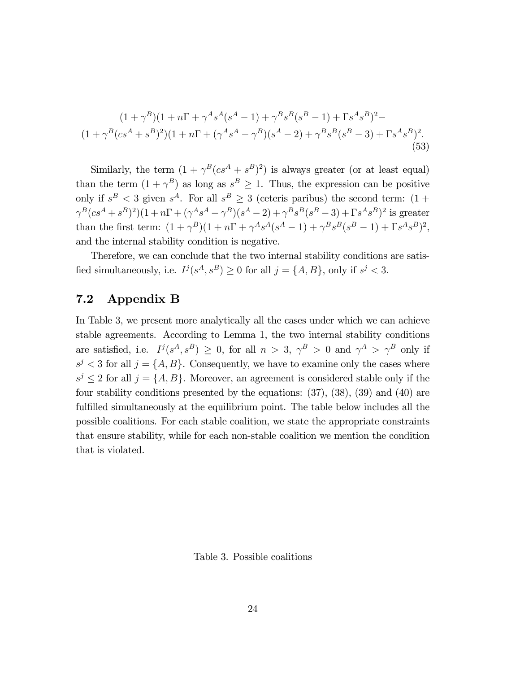$$
(1+\gamma^{B})(1+n\Gamma+\gamma^{A}s^{A}(s^{A}-1)+\gamma^{B}s^{B}(s^{B}-1)+\Gamma s^{A}s^{B})^{2}-
$$
  

$$
(1+\gamma^{B}(cs^{A}+s^{B})^{2})(1+n\Gamma+(\gamma^{A}s^{A}-\gamma^{B})(s^{A}-2)+\gamma^{B}s^{B}(s^{B}-3)+\Gamma s^{A}s^{B})^{2}.
$$
  
(53)

Similarly, the term  $(1 + \gamma^B (c s^A + s^B)^2)$  is always greater (or at least equal) than the term  $(1 + \gamma^B)$  as long as  $s^B \ge 1$ . Thus, the expression can be positive only if  $s^B < 3$  given  $s^A$ . For all  $s^B \geq 3$  (ceteris paribus) the second term:  $(1 +$  $\gamma^B ( c s^A + s^B )^2 ) (1 + n \Gamma + (\gamma^A s^A - \gamma^B) (s^A - 2) + \gamma^B s^B (s^B - 3) + \Gamma s^A s^B )^2$  is greater than the first term:  $(1 + \gamma^B)(1 + n\Gamma + \gamma^A s^A (s^A - 1) + \gamma^B s^B (s^B - 1) + \Gamma s^A s^B)^2$ , and the internal stability condition is negative.

Therefore, we can conclude that the two internal stability conditions are satisfied simultaneously, i.e.  $I^j(s^A, s^B) \ge 0$  for all  $j = \{A, B\}$ , only if  $s^j < 3$ .

### 7.2 Appendix B

In Table 3, we present more analytically all the cases under which we can achieve stable agreements. According to Lemma 1, the two internal stability conditions are satisfied, i.e.  $I^j(s^A, s^B) \geq 0$ , for all  $n > 3$ ,  $\gamma^B > 0$  and  $\gamma^A > \gamma^B$  only if  $s^j < 3$  for all  $j = \{A, B\}$ . Consequently, we have to examine only the cases where  $s^j \leq 2$  for all  $j = \{A, B\}$ . Moreover, an agreement is considered stable only if the four stability conditions presented by the equations: (37), (38), (39) and (40) are fulfilled simultaneously at the equilibrium point. The table below includes all the possible coalitions. For each stable coalition, we state the appropriate constraints that ensure stability, while for each non-stable coalition we mention the condition that is violated.

Table 3. Possible coalitions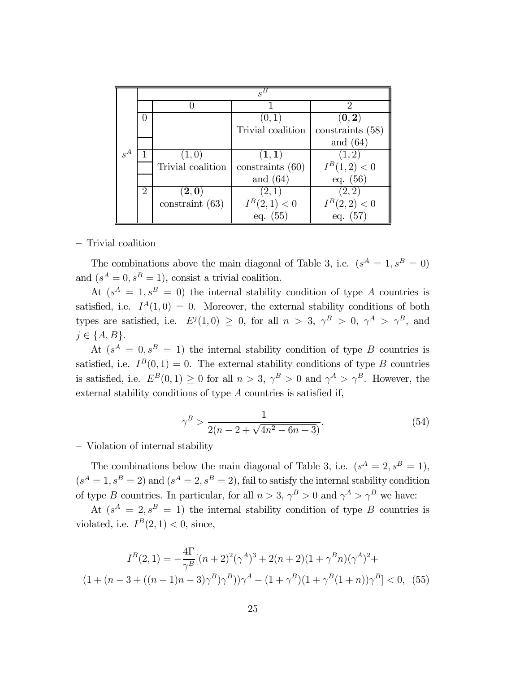|       | $s^B$          |                           |                           |                             |  |
|-------|----------------|---------------------------|---------------------------|-----------------------------|--|
|       |                |                           |                           | $\mathcal{D}_{\mathcal{L}}$ |  |
|       |                |                           | (0,1)                     | (0, 2)                      |  |
|       |                |                           | Trivial coalition         | constraints $(58)$          |  |
|       |                |                           |                           | and $(64)$                  |  |
| $s^A$ |                | (1, 0)                    | $(\mathbf{1},\mathbf{1})$ | (1, 2)                      |  |
|       |                | Trivial coalition         | constraints $(60)$        | $I^B(1,2) < 0$              |  |
|       |                |                           | and $(64)$                | eq. $(56)$                  |  |
|       | $\overline{2}$ | $(\mathbf{2},\mathbf{0})$ | (2,1)                     | (2, 2)                      |  |
|       |                | constraint (63)           | $I^B(2,1) < 0$            | $I^B(2,2) < 0$              |  |
|       |                |                           | $55^{\circ}$<br>eq.       | eq.                         |  |

— Trivial coalition

The combinations above the main diagonal of Table 3, i.e.  $(s^A = 1, s^B = 0)$ and  $(s^A = 0, s^B = 1)$ , consist a trivial coalition.

At  $(s^A = 1, s^B = 0)$  the internal stability condition of type A countries is satisfied, i.e.  $I^A(1,0) = 0$ . Moreover, the external stability conditions of both types are satisfied, i.e.  $E^{j}(1,0) \ge 0$ , for all  $n > 3$ ,  $\gamma^{B} > 0$ ,  $\gamma^{A} > \gamma^{B}$ , and  $j \in \{A, B\}.$ 

At  $(s^A = 0, s^B = 1)$  the internal stability condition of type B countries is satisfied, i.e.  $I^B(0,1) = 0$ . The external stability conditions of type B countries is satisfied, i.e.  $E^B(0,1) \geq 0$  for all  $n > 3$ ,  $\gamma^B > 0$  and  $\gamma^A > \gamma^B$ . However, the external stability conditions of type  $A$  countries is satisfied if,

$$
\gamma^B > \frac{1}{2(n - 2 + \sqrt{4n^2 - 6n + 3})}.\tag{54}
$$

— Violation of internal stability

The combinations below the main diagonal of Table 3, i.e.  $(s^A = 2, s^B = 1)$ ,  $(s<sup>A</sup> = 1, s<sup>B</sup> = 2)$  and  $(s<sup>A</sup> = 2, s<sup>B</sup> = 2)$ , fail to satisfy the internal stability condition of type *B* countries. In particular, for all  $n > 3$ ,  $\gamma^B > 0$  and  $\gamma^A > \gamma^B$  we have:

At  $(s^A = 2, s^B = 1)$  the internal stability condition of type B countries is violated, i.e.  $I^B(2, 1) < 0$ , since,

$$
I^{B}(2,1) = -\frac{4\Gamma}{\gamma^{B}}[(n+2)^{2}(\gamma^{A})^{3} + 2(n+2)(1+\gamma^{B}n)(\gamma^{A})^{2} + (1+(n-3+((n-1)n-3)\gamma^{B})\gamma^{B}))\gamma^{A} - (1+\gamma^{B})(1+\gamma^{B}(1+n))\gamma^{B}] < 0, (55)
$$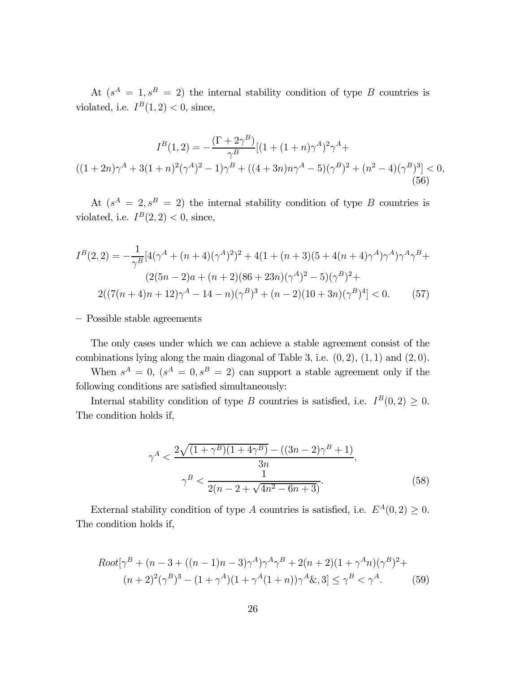At  $(s^A = 1, s^B = 2)$  the internal stability condition of type B countries is violated, i.e.  $I^B(1, 2) < 0$ , since,

$$
I^{B}(1,2) = -\frac{\left(\Gamma + 2\gamma^{B}\right)}{\gamma^{B}} \left[(1 + (1+n)\gamma^{A})^{2}\gamma^{A} + \left((1+2n)\gamma^{A} + 3(1+n)^{2}(\gamma^{A})^{2} - 1\right)\gamma^{B} + \left((4+3n)n\gamma^{A} - 5\right)(\gamma^{B})^{2} + (n^{2} - 4)(\gamma^{B})^{3}\right] < 0,
$$
\n(56)

At  $(s^A = 2, s^B = 2)$  the internal stability condition of type B countries is violated, i.e.  $I^B(2, 2) < 0$ , since,

$$
I^{B}(2,2) = -\frac{1}{\gamma^{B}}[4(\gamma^{A} + (n+4)(\gamma^{A})^{2})^{2} + 4(1 + (n+3)(5 + 4(n+4)\gamma^{A})\gamma^{A})\gamma^{A}\gamma^{B} +
$$
  

$$
(2(5n-2)a + (n+2)(86 + 23n)(\gamma^{A})^{2} - 5)(\gamma^{B})^{2} +
$$
  

$$
2((7(n+4)n+12)\gamma^{A} - 14 - n)(\gamma^{B})^{3} + (n-2)(10 + 3n)(\gamma^{B})^{4}] < 0.
$$
 (57)

— Possible stable agreements

The only cases under which we can achieve a stable agreement consist of the combinations lying along the main diagonal of Table 3, i.e.  $(0, 2)$ ,  $(1, 1)$  and  $(2, 0)$ .

When  $s^A = 0$ ,  $(s^A = 0, s^B = 2)$  can support a stable agreement only if the following conditions are satisfied simultaneously:

Internal stability condition of type B countries is satisfied, i.e.  $I^B(0, 2) \geq 0$ . The condition holds if,

$$
\gamma^A < \frac{2\sqrt{(1+\gamma^B)(1+4\gamma^B)} - ((3n-2)\gamma^B + 1)}{3n},
$$
\n
$$
\gamma^B < \frac{1}{2(n-2+\sqrt{4n^2 - 6n + 3})}.\tag{58}
$$

External stability condition of type A countries is satisfied, i.e.  $E^A(0, 2) \geq 0$ . The condition holds if,

$$
Root[\gamma^{B} + (n-3 + ((n-1)n-3)\gamma^{A})\gamma^{A}\gamma^{B} + 2(n+2)(1+\gamma^{A}n)(\gamma^{B})^{2} + (n+2)^{2}(\gamma^{B})^{3} - (1+\gamma^{A})(1+\gamma^{A}(1+n))\gamma^{A}\& 3] \leq \gamma^{B} < \gamma^{A}.
$$
\n<sup>(59)</sup>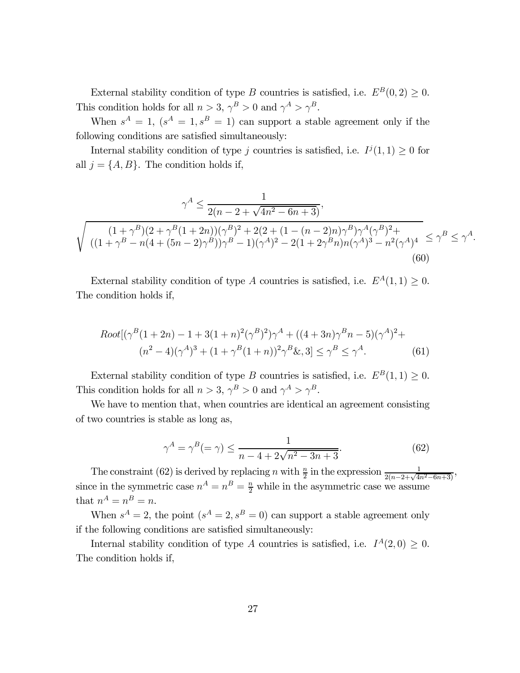External stability condition of type *B* countries is satisfied, i.e.  $E^B(0, 2) \geq 0$ . This condition holds for all  $n > 3$ ,  $\gamma^B > 0$  and  $\gamma^A > \gamma^B$ .

When  $s^A = 1$ ,  $(s^A = 1, s^B = 1)$  can support a stable agreement only if the following conditions are satisfied simultaneously:

Internal stability condition of type *j* countries is satisfied, i.e.  $I^j(1,1) \geq 0$  for all  $j = \{A, B\}$ . The condition holds if,

$$
\gamma^{A} \leq \frac{1}{2(n-2+\sqrt{4n^{2}-6n+3})},
$$
  

$$
\sqrt{\frac{(1+\gamma^{B})(2+\gamma^{B}(1+2n))(\gamma^{B})^{2}+2(2+(1-(n-2)n)\gamma^{B})\gamma^{A}(\gamma^{B})^{2}+}{((1+\gamma^{B}-n(4+(5n-2)\gamma^{B}))\gamma^{B}-1)(\gamma^{A})^{2}-2(1+2\gamma^{B}n)n(\gamma^{A})^{3}-n^{2}(\gamma^{A})^{4}}} \leq \gamma^{B} \leq \gamma^{A}.
$$
  
(60)

External stability condition of type A countries is satisfied, i.e.  $E^A(1,1) \geq 0$ . The condition holds if,

$$
Root[(\gamma^{B}(1+2n) - 1 + 3(1+n)^{2}(\gamma^{B})^{2})\gamma^{A} + ((4+3n)\gamma^{B}n - 5)(\gamma^{A})^{2} + (n^{2} - 4)(\gamma^{A})^{3} + (1+\gamma^{B}(1+n))^{2}\gamma^{B}\& 3] \leq \gamma^{B} \leq \gamma^{A}.
$$
\n(61)

External stability condition of type B countries is satisfied, i.e.  $E^B(1, 1) \geq 0$ . This condition holds for all  $n > 3$ ,  $\gamma^B > 0$  and  $\gamma^A > \gamma^B$ .

We have to mention that, when countries are identical an agreement consisting of two countries is stable as long as,

$$
\gamma^A = \gamma^B (= \gamma) \le \frac{1}{n - 4 + 2\sqrt{n^2 - 3n + 3}}.\tag{62}
$$

The constraint (62) is derived by replacing *n* with  $\frac{n}{2}$  in the expression  $\frac{1}{2(n-2+\sqrt{4n^2-6n+3})}$ , since in the symmetric case  $n^A = n^B = \frac{n}{2}$  while in the asymmetric case we assume that  $n^A = n^B = n$ .

When  $s^A = 2$ , the point  $(s^A = 2, s^B = 0)$  can support a stable agreement only if the following conditions are satisfied simultaneously:

Internal stability condition of type A countries is satisfied, i.e.  $I^A(2,0) \geq 0$ . The condition holds if,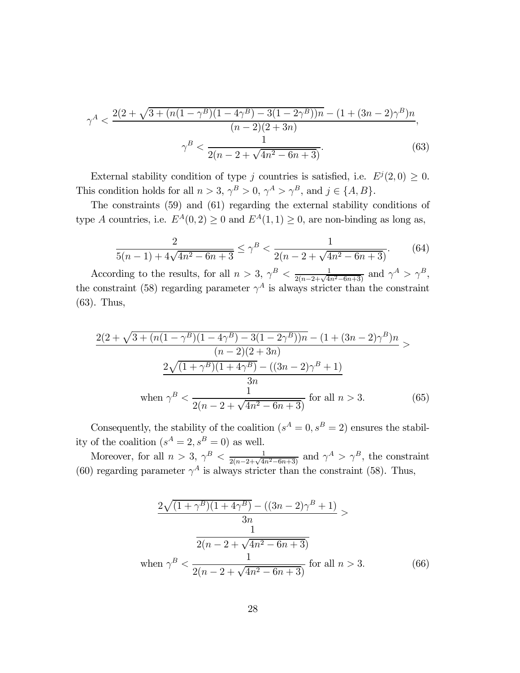$$
\gamma^A < \frac{2(2+\sqrt{3+(n(1-\gamma^B)(1-4\gamma^B)-3(1-2\gamma^B))n}-(1+(3n-2)\gamma^B)n}{(n-2)(2+3n)},
$$
\n
$$
\gamma^B < \frac{1}{2(n-2+\sqrt{4n^2-6n+3})}.\tag{63}
$$

External stability condition of type *j* countries is satisfied, i.e.  $E^{j}(2,0) \geq 0$ . This condition holds for all  $n > 3$ ,  $\gamma^B > 0$ ,  $\gamma^A > \gamma^B$ , and  $j \in \{A, B\}$ .

The constraints (59) and (61) regarding the external stability conditions of type A countries, i.e.  $E^A(0, 2) \geq 0$  and  $E^A(1, 1) \geq 0$ , are non-binding as long as,

$$
\frac{2}{5(n-1) + 4\sqrt{4n^2 - 6n + 3}} \le \gamma^B < \frac{1}{2(n-2 + \sqrt{4n^2 - 6n + 3})}.
$$
 (64)

According to the results, for all  $n > 3$ ,  $\gamma^B < \frac{1}{2(n-2+\sqrt{4n^2-6n+3})}$  and  $\gamma^A > \gamma^B$ , the constraint (58) regarding parameter  $\gamma^A$  is always stricter than the constraint (63). Thus,

$$
\frac{2(2+\sqrt{3+(n(1-\gamma^B)(1-4\gamma^B)-3(1-2\gamma^B))n}-(1+(3n-2)\gamma^B)n}{(n-2)(2+3n)}
$$

$$
\frac{2\sqrt{(1+\gamma^B)(1+4\gamma^B)}-((3n-2)\gamma^B+1)}{3n}
$$
  
when  $\gamma^B < \frac{1}{2(n-2+\sqrt{4n^2-6n+3})}$  for all  $n > 3$ . (65)

Consequently, the stability of the coalition  $(s^A = 0, s^B = 2)$  ensures the stability of the coalition  $(s^A = 2, s^B = 0)$  as well.

Moreover, for all  $n > 3$ ,  $\gamma^B < \frac{1}{2(n-2+\sqrt{4n^2-6n+3})}$  and  $\gamma^A > \gamma^B$ , the constraint (60) regarding parameter  $\gamma^A$  is always stricter than the constraint (58). Thus,

$$
\frac{2\sqrt{(1+\gamma^B)(1+4\gamma^B)} - ((3n-2)\gamma^B + 1)}{3n} > \frac{1}{2(n-2+\sqrt{4n^2 - 6n + 3})}
$$
  
when  $\gamma^B < \frac{1}{2(n-2+\sqrt{4n^2 - 6n + 3})}$  for all  $n > 3$ . (66)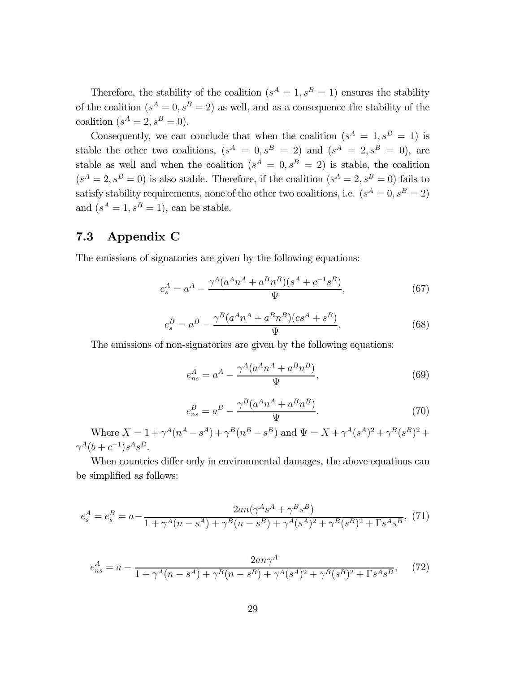Therefore, the stability of the coalition  $(s^A = 1, s^B = 1)$  ensures the stability of the coalition  $(s^A = 0, s^B = 2)$  as well, and as a consequence the stability of the coalition  $(s^A = 2, s^B = 0)$ .

Consequently, we can conclude that when the coalition  $(s^A = 1, s^B = 1)$  is stable the other two coalitions,  $(s^A = 0, s^B = 2)$  and  $(s^A = 2, s^B = 0)$ , are stable as well and when the coalition  $(s^A = 0, s^B = 2)$  is stable, the coalition  $(s<sup>A</sup> = 2, s<sup>B</sup> = 0)$  is also stable. Therefore, if the coalition  $(s<sup>A</sup> = 2, s<sup>B</sup> = 0)$  fails to satisfy stability requirements, none of the other two coalitions, i.e.  $(s^A = 0, s^B = 2)$ and  $(s^A = 1, s^B = 1)$ , can be stable.

### 7.3 Appendix C

The emissions of signatories are given by the following equations:

$$
e_s^A = a^A - \frac{\gamma^A (a^A n^A + a^B n^B)(s^A + c^{-1} s^B)}{\Psi},\tag{67}
$$

$$
e_s^B = a^B - \frac{\gamma^B (a^A n^A + a^B n^B)(cs^A + s^B)}{\Psi}.
$$
 (68)

The emissions of non-signatories are given by the following equations:

$$
e_{ns}^A = a^A - \frac{\gamma^A (a^A n^A + a^B n^B)}{\Psi},
$$
\n(69)

$$
e_{ns}^B = a^B - \frac{\gamma^B (a^A n^A + a^B n^B)}{\Psi}.
$$
\n<sup>(70)</sup>

Where  $X = 1 + \gamma^A (n^A - s^A) + \gamma^B (n^B - s^B)$  and  $\Psi = X + \gamma^A (s^A)^2 + \gamma^B (s^B)^2 +$  $\gamma^{A}(b + c^{-1})s^{A}s^{B}.$ 

When countries differ only in environmental damages, the above equations can be simplified as follows:

$$
e_s^A = e_s^B = a - \frac{2an(\gamma^A s^A + \gamma^B s^B)}{1 + \gamma^A (n - s^A) + \gamma^B (n - s^B) + \gamma^A (s^A)^2 + \gamma^B (s^B)^2 + \Gamma s^A s^B},
$$
(71)

$$
e_{ns}^A = a - \frac{2an\gamma^A}{1 + \gamma^A(n - s^A) + \gamma^B(n - s^B) + \gamma^A(s^A)^2 + \gamma^B(s^B)^2 + \Gamma s^A s^B},\tag{72}
$$